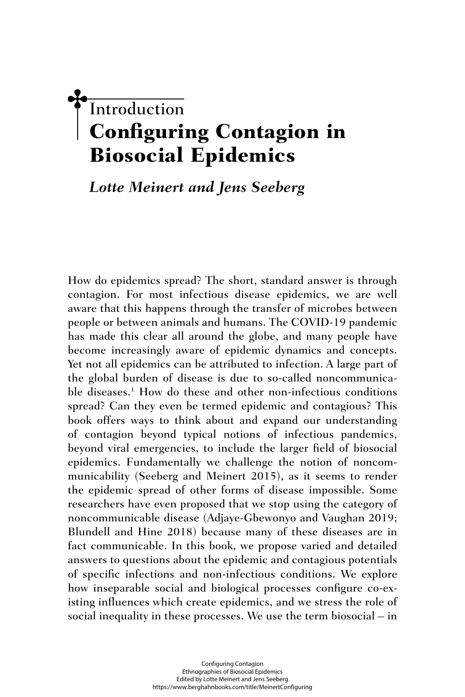# **Introduction** Configuring Contagion in Biosocial Epidemics

## *Lotte Meinert and Jens Seeberg*

How do epidemics spread? The short, standard answer is through contagion. For most infectious disease epidemics, we are well aware that this happens through the transfer of microbes between people or between animals and humans. The COVID-19 pandemic has made this clear all around the globe, and many people have become increasingly aware of epidemic dynamics and concepts. Yet not all epidemics can be attributed to infection. A large part of the global burden of disease is due to so-called noncommunicable diseases.<sup>1</sup> How do these and other non-infectious conditions spread? Can they even be termed epidemic and contagious? This book offers ways to think about and expand our understanding of contagion beyond typical notions of infectious pandemics, beyond viral emergencies, to include the larger field of biosocial epidemics. Fundamentally we challenge the notion of noncommunicability (Seeberg and Meinert 2015), as it seems to render the epidemic spread of other forms of disease impossible. Some researchers have even proposed that we stop using the category of noncommunicable disease (Adjaye-Gbewonyo and Vaughan 2019; Blundell and Hine 2018) because many of these diseases are in fact communicable. In this book, we propose varied and detailed answers to questions about the epidemic and contagious potentials of specific infections and non-infectious conditions. We explore how inseparable social and biological processes configure co-existing influences which create epidemics, and we stress the role of social inequality in these processes. We use the term biosocial – in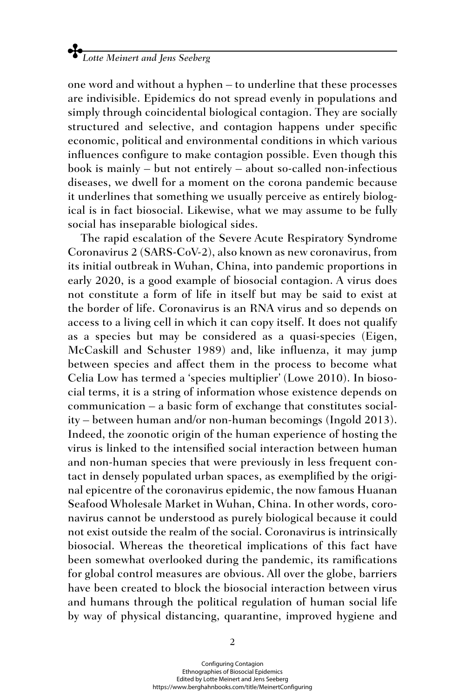one word and without a hyphen – to underline that these processes are indivisible. Epidemics do not spread evenly in populations and simply through coincidental biological contagion. They are socially structured and selective, and contagion happens under specific economic, political and environmental conditions in which various influences configure to make contagion possible. Even though this book is mainly – but not entirely – about so-called non-infectious diseases, we dwell for a moment on the corona pandemic because it underlines that something we usually perceive as entirely biological is in fact biosocial. Likewise, what we may assume to be fully social has inseparable biological sides.

The rapid escalation of the Severe Acute Respiratory Syndrome Coronavirus 2 (SARS-CoV-2), also known as new coronavirus, from its initial outbreak in Wuhan, China, into pandemic proportions in early 2020, is a good example of biosocial contagion. A virus does not constitute a form of life in itself but may be said to exist at the border of life. Coronavirus is an RNA virus and so depends on access to a living cell in which it can copy itself. It does not qualify as a species but may be considered as a quasi-species (Eigen, McCaskill and Schuster 1989) and, like influenza, it may jump between species and affect them in the process to become what Celia Low has termed a 'species multiplier' (Lowe 2010). In biosocial terms, it is a string of information whose existence depends on communication – a basic form of exchange that constitutes sociality – between human and/or non-human becomings (Ingold 2013). Indeed, the zoonotic origin of the human experience of hosting the virus is linked to the intensified social interaction between human and non-human species that were previously in less frequent contact in densely populated urban spaces, as exemplified by the original epicentre of the coronavirus epidemic, the now famous Huanan Seafood Wholesale Market in Wuhan, China. In other words, coronavirus cannot be understood as purely biological because it could not exist outside the realm of the social. Coronavirus is intrinsically biosocial. Whereas the theoretical implications of this fact have been somewhat overlooked during the pandemic, its ramifications for global control measures are obvious. All over the globe, barriers have been created to block the biosocial interaction between virus and humans through the political regulation of human social life by way of physical distancing, quarantine, improved hygiene and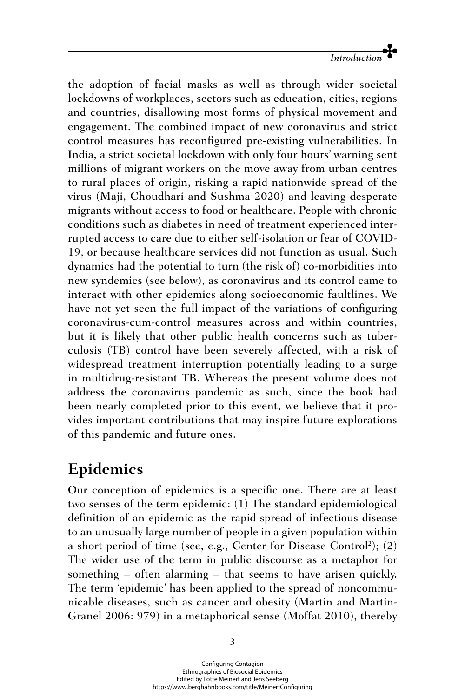

the adoption of facial masks as well as through wider societal lockdowns of workplaces, sectors such as education, cities, regions and countries, disallowing most forms of physical movement and engagement. The combined impact of new coronavirus and strict control measures has reconfigured pre-existing vulnerabilities. In India, a strict societal lockdown with only four hours' warning sent millions of migrant workers on the move away from urban centres to rural places of origin, risking a rapid nationwide spread of the virus (Maji, Choudhari and Sushma 2020) and leaving desperate migrants without access to food or healthcare. People with chronic conditions such as diabetes in need of treatment experienced interrupted access to care due to either self-isolation or fear of COVID-19, or because healthcare services did not function as usual. Such dynamics had the potential to turn (the risk of) co-morbidities into new syndemics (see below), as coronavirus and its control came to interact with other epidemics along socioeconomic faultlines. We have not yet seen the full impact of the variations of configuring coronavirus-cum-control measures across and within countries, but it is likely that other public health concerns such as tuberculosis (TB) control have been severely affected, with a risk of widespread treatment interruption potentially leading to a surge in multidrug-resistant TB. Whereas the present volume does not address the coronavirus pandemic as such, since the book had been nearly completed prior to this event, we believe that it provides important contributions that may inspire future explorations of this pandemic and future ones.

## **Epidemics**

Our conception of epidemics is a specific one. There are at least two senses of the term epidemic: (1) The standard epidemiological definition of an epidemic as the rapid spread of infectious disease to an unusually large number of people in a given population within a short period of time (see, e.g., Center for Disease Control<sup>2</sup>); (2) The wider use of the term in public discourse as a metaphor for something – often alarming – that seems to have arisen quickly. The term 'epidemic' has been applied to the spread of noncommunicable diseases, such as cancer and obesity (Martin and Martin-Granel 2006: 979) in a metaphorical sense (Moffat 2010), thereby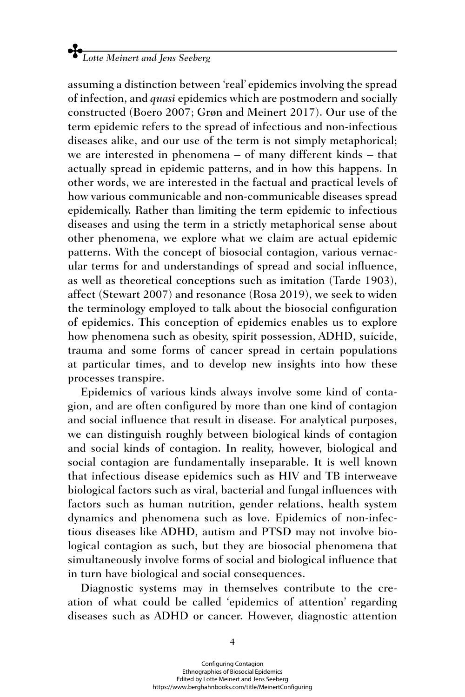assuming a distinction between 'real' epidemics involving the spread of infection, and *quasi* epidemics which are postmodern and socially constructed (Boero 2007; Grøn and Meinert 2017). Our use of the term epidemic refers to the spread of infectious and non-infectious diseases alike, and our use of the term is not simply metaphorical; we are interested in phenomena – of many different kinds – that actually spread in epidemic patterns, and in how this happens. In other words, we are interested in the factual and practical levels of how various communicable and non-communicable diseases spread epidemically. Rather than limiting the term epidemic to infectious diseases and using the term in a strictly metaphorical sense about other phenomena, we explore what we claim are actual epidemic patterns. With the concept of biosocial contagion, various vernacular terms for and understandings of spread and social influence, as well as theoretical conceptions such as imitation (Tarde 1903), affect (Stewart 2007) and resonance (Rosa 2019), we seek to widen the terminology employed to talk about the biosocial configuration of epidemics. This conception of epidemics enables us to explore how phenomena such as obesity, spirit possession, ADHD, suicide, trauma and some forms of cancer spread in certain populations at particular times, and to develop new insights into how these processes transpire.

Epidemics of various kinds always involve some kind of contagion, and are often configured by more than one kind of contagion and social influence that result in disease. For analytical purposes, we can distinguish roughly between biological kinds of contagion and social kinds of contagion. In reality, however, biological and social contagion are fundamentally inseparable. It is well known that infectious disease epidemics such as HIV and TB interweave biological factors such as viral, bacterial and fungal influences with factors such as human nutrition, gender relations, health system dynamics and phenomena such as love. Epidemics of non-infectious diseases like ADHD, autism and PTSD may not involve biological contagion as such, but they are biosocial phenomena that simultaneously involve forms of social and biological influence that in turn have biological and social consequences.

Diagnostic systems may in themselves contribute to the creation of what could be called 'epidemics of attention' regarding diseases such as ADHD or cancer. However, diagnostic attention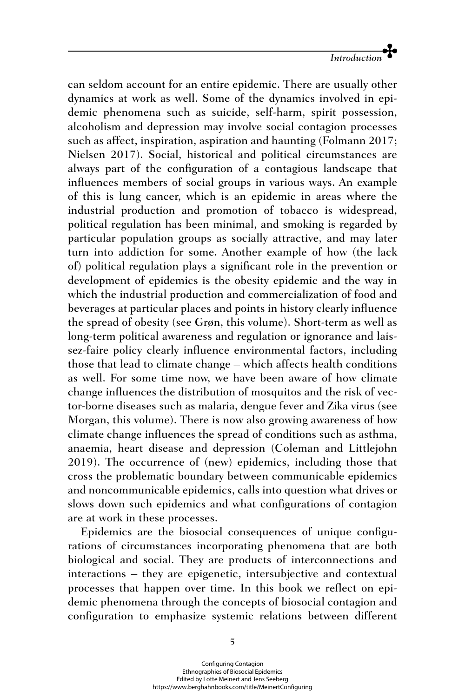

can seldom account for an entire epidemic. There are usually other dynamics at work as well. Some of the dynamics involved in epidemic phenomena such as suicide, self-harm, spirit possession, alcoholism and depression may involve social contagion processes such as affect, inspiration, aspiration and haunting (Folmann 2017; Nielsen 2017). Social, historical and political circumstances are always part of the configuration of a contagious landscape that influences members of social groups in various ways. An example of this is lung cancer, which is an epidemic in areas where the industrial production and promotion of tobacco is widespread, political regulation has been minimal, and smoking is regarded by particular population groups as socially attractive, and may later turn into addiction for some. Another example of how (the lack of) political regulation plays a significant role in the prevention or development of epidemics is the obesity epidemic and the way in which the industrial production and commercialization of food and beverages at particular places and points in history clearly influence the spread of obesity (see Grøn, this volume). Short-term as well as long-term political awareness and regulation or ignorance and laissez-faire policy clearly influence environmental factors, including those that lead to climate change – which affects health conditions as well. For some time now, we have been aware of how climate change influences the distribution of mosquitos and the risk of vector-borne diseases such as malaria, dengue fever and Zika virus (see Morgan, this volume). There is now also growing awareness of how climate change influences the spread of conditions such as asthma, anaemia, heart disease and depression (Coleman and Littlejohn 2019). The occurrence of (new) epidemics, including those that cross the problematic boundary between communicable epidemics and noncommunicable epidemics, calls into question what drives or slows down such epidemics and what configurations of contagion are at work in these processes.

Epidemics are the biosocial consequences of unique configurations of circumstances incorporating phenomena that are both biological and social. They are products of interconnections and interactions – they are epigenetic, intersubjective and contextual processes that happen over time. In this book we reflect on epidemic phenomena through the concepts of biosocial contagion and configuration to emphasize systemic relations between different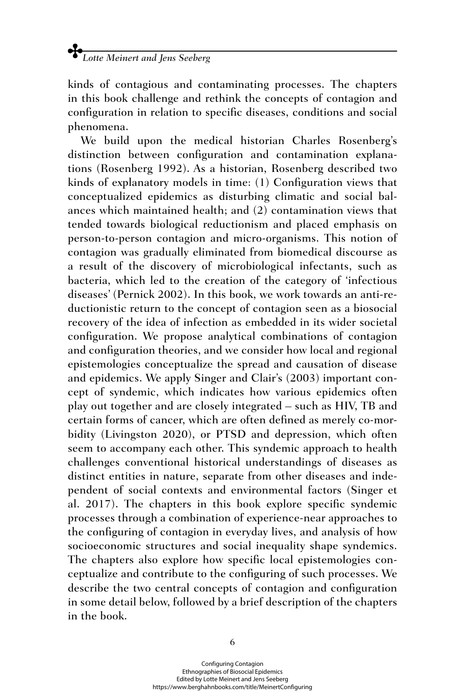kinds of contagious and contaminating processes. The chapters in this book challenge and rethink the concepts of contagion and configuration in relation to specific diseases, conditions and social phenomena.

We build upon the medical historian Charles Rosenberg's distinction between configuration and contamination explanations (Rosenberg 1992). As a historian, Rosenberg described two kinds of explanatory models in time: (1) Configuration views that conceptualized epidemics as disturbing climatic and social balances which maintained health; and (2) contamination views that tended towards biological reductionism and placed emphasis on person-to-person contagion and micro-organisms. This notion of contagion was gradually eliminated from biomedical discourse as a result of the discovery of microbiological infectants, such as bacteria, which led to the creation of the category of 'infectious diseases' (Pernick 2002). In this book, we work towards an anti-reductionistic return to the concept of contagion seen as a biosocial recovery of the idea of infection as embedded in its wider societal configuration. We propose analytical combinations of contagion and configuration theories, and we consider how local and regional epistemologies conceptualize the spread and causation of disease and epidemics. We apply Singer and Clair's (2003) important concept of syndemic, which indicates how various epidemics often play out together and are closely integrated – such as HIV, TB and certain forms of cancer, which are often defined as merely co-morbidity (Livingston 2020), or PTSD and depression, which often seem to accompany each other. This syndemic approach to health challenges conventional historical understandings of diseases as distinct entities in nature, separate from other diseases and independent of social contexts and environmental factors (Singer et al. 2017). The chapters in this book explore specific syndemic processes through a combination of experience-near approaches to the configuring of contagion in everyday lives, and analysis of how socioeconomic structures and social inequality shape syndemics. The chapters also explore how specific local epistemologies conceptualize and contribute to the configuring of such processes. We describe the two central concepts of contagion and configuration in some detail below, followed by a brief description of the chapters in the book.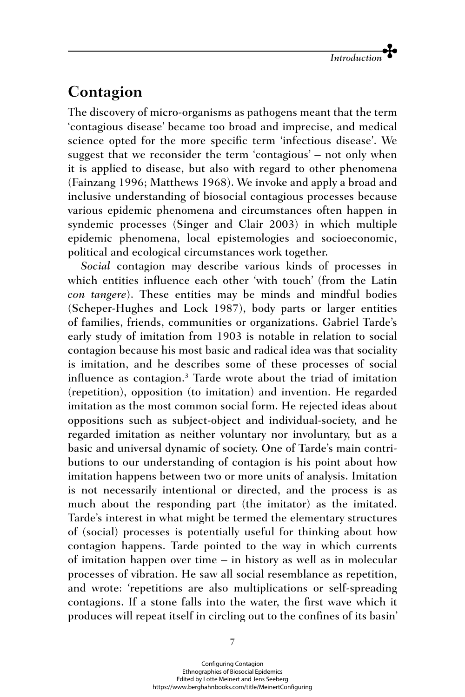## **Contagion**

The discovery of micro-organisms as pathogens meant that the term 'contagious disease' became too broad and imprecise, and medical science opted for the more specific term 'infectious disease'. We suggest that we reconsider the term 'contagious' – not only when it is applied to disease, but also with regard to other phenomena (Fainzang 1996; Matthews 1968). We invoke and apply a broad and inclusive understanding of biosocial contagious processes because various epidemic phenomena and circumstances often happen in syndemic processes (Singer and Clair 2003) in which multiple epidemic phenomena, local epistemologies and socioeconomic, political and ecological circumstances work together.

*Social* contagion may describe various kinds of processes in which entities influence each other 'with touch' (from the Latin *con tangere*). These entities may be minds and mindful bodies (Scheper-Hughes and Lock 1987), body parts or larger entities of families, friends, communities or organizations. Gabriel Tarde's early study of imitation from 1903 is notable in relation to social contagion because his most basic and radical idea was that sociality is imitation, and he describes some of these processes of social influence as contagion.3 Tarde wrote about the triad of imitation (repetition), opposition (to imitation) and invention. He regarded imitation as the most common social form. He rejected ideas about oppositions such as subject-object and individual-society, and he regarded imitation as neither voluntary nor involuntary, but as a basic and universal dynamic of society. One of Tarde's main contributions to our understanding of contagion is his point about how imitation happens between two or more units of analysis. Imitation is not necessarily intentional or directed, and the process is as much about the responding part (the imitator) as the imitated. Tarde's interest in what might be termed the elementary structures of (social) processes is potentially useful for thinking about how contagion happens. Tarde pointed to the way in which currents of imitation happen over time – in history as well as in molecular processes of vibration. He saw all social resemblance as repetition, and wrote: 'repetitions are also multiplications or self-spreading contagions. If a stone falls into the water, the first wave which it produces will repeat itself in circling out to the confines of its basin'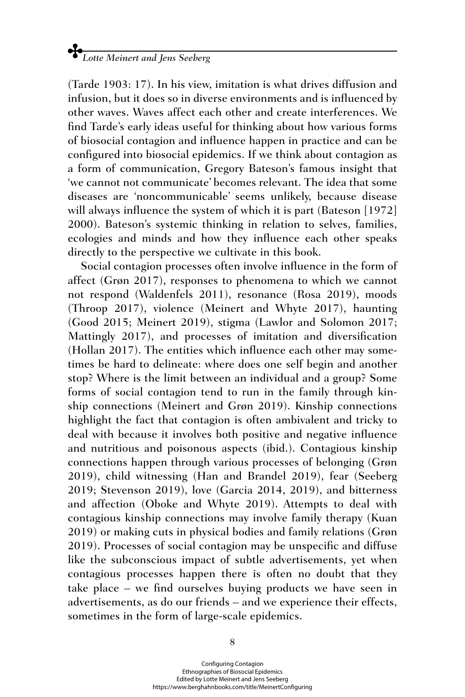(Tarde 1903: 17). In his view, imitation is what drives diffusion and infusion, but it does so in diverse environments and is influenced by other waves. Waves affect each other and create interferences. We find Tarde's early ideas useful for thinking about how various forms of biosocial contagion and influence happen in practice and can be configured into biosocial epidemics. If we think about contagion as a form of communication, Gregory Bateson's famous insight that 'we cannot not communicate' becomes relevant. The idea that some diseases are 'noncommunicable' seems unlikely, because disease will always influence the system of which it is part (Bateson [1972] 2000). Bateson's systemic thinking in relation to selves, families, ecologies and minds and how they influence each other speaks directly to the perspective we cultivate in this book.

Social contagion processes often involve influence in the form of affect (Grøn 2017), responses to phenomena to which we cannot not respond (Waldenfels 2011), resonance (Rosa 2019), moods (Throop 2017), violence (Meinert and Whyte 2017), haunting (Good 2015; Meinert 2019), stigma (Lawlor and Solomon 2017; Mattingly 2017), and processes of imitation and diversification (Hollan 2017). The entities which influence each other may sometimes be hard to delineate: where does one self begin and another stop? Where is the limit between an individual and a group? Some forms of social contagion tend to run in the family through kinship connections (Meinert and Grøn 2019). Kinship connections highlight the fact that contagion is often ambivalent and tricky to deal with because it involves both positive and negative influence and nutritious and poisonous aspects (ibid.). Contagious kinship connections happen through various processes of belonging (Grøn 2019), child witnessing (Han and Brandel 2019), fear (Seeberg 2019; Stevenson 2019), love (Garcia 2014, 2019), and bitterness and affection (Oboke and Whyte 2019). Attempts to deal with contagious kinship connections may involve family therapy (Kuan 2019) or making cuts in physical bodies and family relations (Grøn 2019). Processes of social contagion may be unspecific and diffuse like the subconscious impact of subtle advertisements, yet when contagious processes happen there is often no doubt that they take place – we find ourselves buying products we have seen in advertisements, as do our friends – and we experience their effects, sometimes in the form of large-scale epidemics.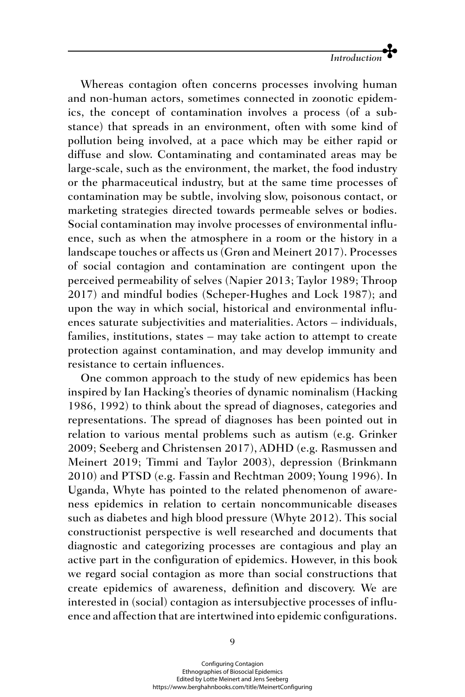

Whereas contagion often concerns processes involving human and non-human actors, sometimes connected in zoonotic epidemics, the concept of contamination involves a process (of a substance) that spreads in an environment, often with some kind of pollution being involved, at a pace which may be either rapid or diffuse and slow. Contaminating and contaminated areas may be large-scale, such as the environment, the market, the food industry or the pharmaceutical industry, but at the same time processes of contamination may be subtle, involving slow, poisonous contact, or marketing strategies directed towards permeable selves or bodies. Social contamination may involve processes of environmental influence, such as when the atmosphere in a room or the history in a landscape touches or affects us (Grøn and Meinert 2017). Processes of social contagion and contamination are contingent upon the perceived permeability of selves (Napier 2013; Taylor 1989; Throop 2017) and mindful bodies (Scheper-Hughes and Lock 1987); and upon the way in which social, historical and environmental influences saturate subjectivities and materialities. Actors – individuals, families, institutions, states – may take action to attempt to create protection against contamination, and may develop immunity and resistance to certain influences.

One common approach to the study of new epidemics has been inspired by Ian Hacking's theories of dynamic nominalism (Hacking 1986, 1992) to think about the spread of diagnoses, categories and representations. The spread of diagnoses has been pointed out in relation to various mental problems such as autism (e.g. Grinker 2009; Seeberg and Christensen 2017), ADHD (e.g. Rasmussen and Meinert 2019; Timmi and Taylor 2003), depression (Brinkmann 2010) and PTSD (e.g. Fassin and Rechtman 2009; Young 1996). In Uganda, Whyte has pointed to the related phenomenon of awareness epidemics in relation to certain noncommunicable diseases such as diabetes and high blood pressure (Whyte 2012). This social constructionist perspective is well researched and documents that diagnostic and categorizing processes are contagious and play an active part in the configuration of epidemics. However, in this book we regard social contagion as more than social constructions that create epidemics of awareness, definition and discovery. We are interested in (social) contagion as intersubjective processes of influence and affection that are intertwined into epidemic configurations.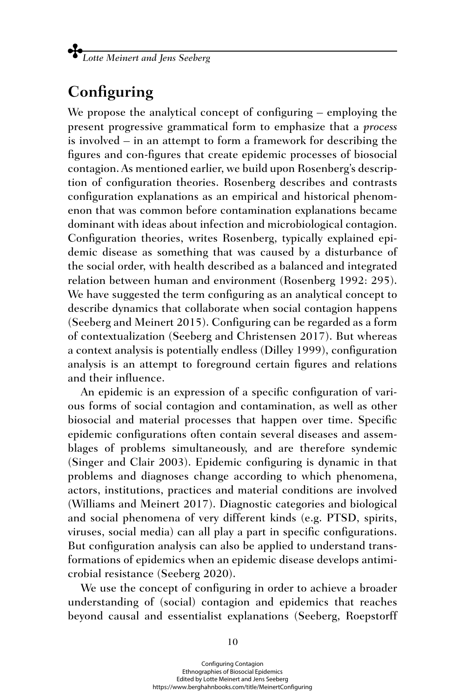## **Configuring**

We propose the analytical concept of configuring – employing the present progressive grammatical form to emphasize that a *process* is involved – in an attempt to form a framework for describing the figures and con-figures that create epidemic processes of biosocial contagion. As mentioned earlier, we build upon Rosenberg's description of configuration theories. Rosenberg describes and contrasts configuration explanations as an empirical and historical phenomenon that was common before contamination explanations became dominant with ideas about infection and microbiological contagion. Configuration theories, writes Rosenberg, typically explained epidemic disease as something that was caused by a disturbance of the social order, with health described as a balanced and integrated relation between human and environment (Rosenberg 1992: 295). We have suggested the term configuring as an analytical concept to describe dynamics that collaborate when social contagion happens (Seeberg and Meinert 2015). Configuring can be regarded as a form of contextualization (Seeberg and Christensen 2017). But whereas a context analysis is potentially endless (Dilley 1999), configuration analysis is an attempt to foreground certain figures and relations and their influence.

An epidemic is an expression of a specific configuration of various forms of social contagion and contamination, as well as other biosocial and material processes that happen over time. Specific epidemic configurations often contain several diseases and assemblages of problems simultaneously, and are therefore syndemic (Singer and Clair 2003). Epidemic configuring is dynamic in that problems and diagnoses change according to which phenomena, actors, institutions, practices and material conditions are involved (Williams and Meinert 2017). Diagnostic categories and biological and social phenomena of very different kinds (e.g. PTSD, spirits, viruses, social media) can all play a part in specific configurations. But configuration analysis can also be applied to understand transformations of epidemics when an epidemic disease develops antimicrobial resistance (Seeberg 2020).

We use the concept of configuring in order to achieve a broader understanding of (social) contagion and epidemics that reaches beyond causal and essentialist explanations (Seeberg, Roepstorff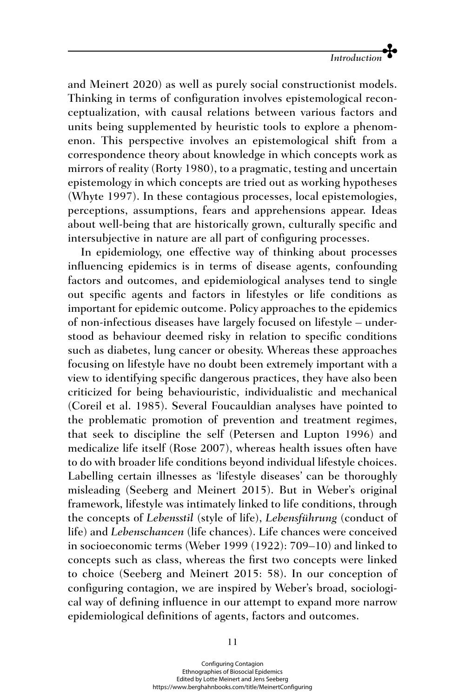and Meinert 2020) as well as purely social constructionist models. Thinking in terms of configuration involves epistemological reconceptualization, with causal relations between various factors and units being supplemented by heuristic tools to explore a phenomenon. This perspective involves an epistemological shift from a correspondence theory about knowledge in which concepts work as mirrors of reality (Rorty 1980), to a pragmatic, testing and uncertain epistemology in which concepts are tried out as working hypotheses (Whyte 1997). In these contagious processes, local epistemologies, perceptions, assumptions, fears and apprehensions appear. Ideas about well-being that are historically grown, culturally specific and intersubjective in nature are all part of configuring processes.

In epidemiology, one effective way of thinking about processes influencing epidemics is in terms of disease agents, confounding factors and outcomes, and epidemiological analyses tend to single out specific agents and factors in lifestyles or life conditions as important for epidemic outcome. Policy approaches to the epidemics of non-infectious diseases have largely focused on lifestyle – understood as behaviour deemed risky in relation to specific conditions such as diabetes, lung cancer or obesity. Whereas these approaches focusing on lifestyle have no doubt been extremely important with a view to identifying specific dangerous practices, they have also been criticized for being behaviouristic, individualistic and mechanical (Coreil et al. 1985). Several Foucauldian analyses have pointed to the problematic promotion of prevention and treatment regimes, that seek to discipline the self (Petersen and Lupton 1996) and medicalize life itself (Rose 2007), whereas health issues often have to do with broader life conditions beyond individual lifestyle choices. Labelling certain illnesses as 'lifestyle diseases' can be thoroughly misleading (Seeberg and Meinert 2015). But in Weber's original framework, lifestyle was intimately linked to life conditions, through the concepts of *Lebensstil* (style of life), *Lebensführung* (conduct of life) and *Lebenschancen* (life chances). Life chances were conceived in socioeconomic terms (Weber 1999 (1922): 709–10) and linked to concepts such as class, whereas the first two concepts were linked to choice (Seeberg and Meinert 2015: 58). In our conception of configuring contagion, we are inspired by Weber's broad, sociological way of defining influence in our attempt to expand more narrow epidemiological definitions of agents, factors and outcomes.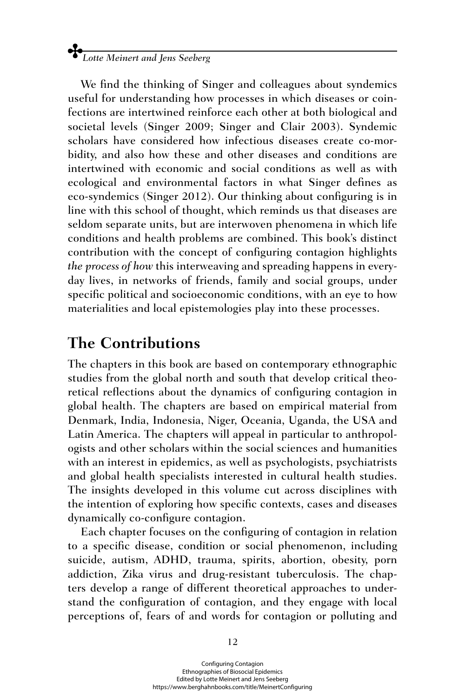We find the thinking of Singer and colleagues about syndemics useful for understanding how processes in which diseases or coinfections are intertwined reinforce each other at both biological and societal levels (Singer 2009; Singer and Clair 2003). Syndemic scholars have considered how infectious diseases create co-morbidity, and also how these and other diseases and conditions are intertwined with economic and social conditions as well as with ecological and environmental factors in what Singer defines as eco-syndemics (Singer 2012). Our thinking about configuring is in line with this school of thought, which reminds us that diseases are seldom separate units, but are interwoven phenomena in which life conditions and health problems are combined. This book's distinct contribution with the concept of configuring contagion highlights *the process of how* this interweaving and spreading happens in everyday lives, in networks of friends, family and social groups, under specific political and socioeconomic conditions, with an eye to how materialities and local epistemologies play into these processes.

## **The Contributions**

The chapters in this book are based on contemporary ethnographic studies from the global north and south that develop critical theoretical reflections about the dynamics of configuring contagion in global health. The chapters are based on empirical material from Denmark, India, Indonesia, Niger, Oceania, Uganda, the USA and Latin America. The chapters will appeal in particular to anthropologists and other scholars within the social sciences and humanities with an interest in epidemics, as well as psychologists, psychiatrists and global health specialists interested in cultural health studies. The insights developed in this volume cut across disciplines with the intention of exploring how specific contexts, cases and diseases dynamically co-configure contagion.

Each chapter focuses on the configuring of contagion in relation to a specific disease, condition or social phenomenon, including suicide, autism, ADHD, trauma, spirits, abortion, obesity, porn addiction, Zika virus and drug-resistant tuberculosis. The chapters develop a range of different theoretical approaches to understand the configuration of contagion, and they engage with local perceptions of, fears of and words for contagion or polluting and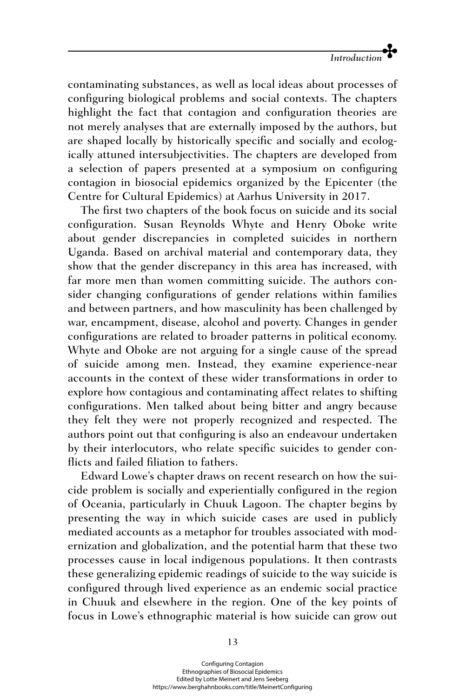contaminating substances, as well as local ideas about processes of configuring biological problems and social contexts. The chapters highlight the fact that contagion and configuration theories are not merely analyses that are externally imposed by the authors, but are shaped locally by historically specific and socially and ecologically attuned intersubjectivities. The chapters are developed from a selection of papers presented at a symposium on configuring contagion in biosocial epidemics organized by the Epicenter (the Centre for Cultural Epidemics) at Aarhus University in 2017.

The first two chapters of the book focus on suicide and its social configuration. Susan Reynolds Whyte and Henry Oboke write about gender discrepancies in completed suicides in northern Uganda. Based on archival material and contemporary data, they show that the gender discrepancy in this area has increased, with far more men than women committing suicide. The authors consider changing configurations of gender relations within families and between partners, and how masculinity has been challenged by war, encampment, disease, alcohol and poverty. Changes in gender configurations are related to broader patterns in political economy. Whyte and Oboke are not arguing for a single cause of the spread of suicide among men. Instead, they examine experience-near accounts in the context of these wider transformations in order to explore how contagious and contaminating affect relates to shifting configurations. Men talked about being bitter and angry because they felt they were not properly recognized and respected. The authors point out that configuring is also an endeavour undertaken by their interlocutors, who relate specific suicides to gender conflicts and failed filiation to fathers.

Edward Lowe's chapter draws on recent research on how the suicide problem is socially and experientially configured in the region of Oceania, particularly in Chuuk Lagoon. The chapter begins by presenting the way in which suicide cases are used in publicly mediated accounts as a metaphor for troubles associated with modernization and globalization, and the potential harm that these two processes cause in local indigenous populations. It then contrasts these generalizing epidemic readings of suicide to the way suicide is configured through lived experience as an endemic social practice in Chuuk and elsewhere in the region. One of the key points of focus in Lowe's ethnographic material is how suicide can grow out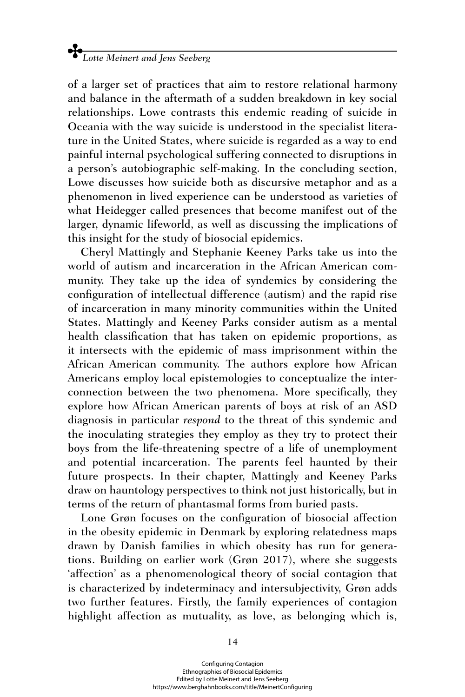of a larger set of practices that aim to restore relational harmony and balance in the aftermath of a sudden breakdown in key social relationships. Lowe contrasts this endemic reading of suicide in Oceania with the way suicide is understood in the specialist literature in the United States, where suicide is regarded as a way to end painful internal psychological suffering connected to disruptions in a person's autobiographic self-making. In the concluding section, Lowe discusses how suicide both as discursive metaphor and as a phenomenon in lived experience can be understood as varieties of what Heidegger called presences that become manifest out of the larger, dynamic lifeworld, as well as discussing the implications of this insight for the study of biosocial epidemics.

Cheryl Mattingly and Stephanie Keeney Parks take us into the world of autism and incarceration in the African American community. They take up the idea of syndemics by considering the configuration of intellectual difference (autism) and the rapid rise of incarceration in many minority communities within the United States. Mattingly and Keeney Parks consider autism as a mental health classification that has taken on epidemic proportions, as it intersects with the epidemic of mass imprisonment within the African American community. The authors explore how African Americans employ local epistemologies to conceptualize the interconnection between the two phenomena. More specifically, they explore how African American parents of boys at risk of an ASD diagnosis in particular *respond* to the threat of this syndemic and the inoculating strategies they employ as they try to protect their boys from the life-threatening spectre of a life of unemployment and potential incarceration. The parents feel haunted by their future prospects. In their chapter, Mattingly and Keeney Parks draw on hauntology perspectives to think not just historically, but in terms of the return of phantasmal forms from buried pasts.

Lone Grøn focuses on the configuration of biosocial affection in the obesity epidemic in Denmark by exploring relatedness maps drawn by Danish families in which obesity has run for generations. Building on earlier work (Grøn 2017), where she suggests 'affection' as a phenomenological theory of social contagion that is characterized by indeterminacy and intersubjectivity, Grøn adds two further features. Firstly, the family experiences of contagion highlight affection as mutuality, as love, as belonging which is,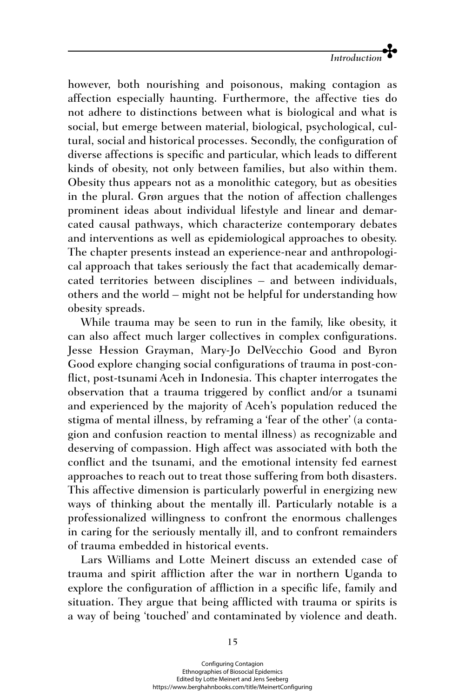

however, both nourishing and poisonous, making contagion as affection especially haunting. Furthermore, the affective ties do not adhere to distinctions between what is biological and what is social, but emerge between material, biological, psychological, cultural, social and historical processes. Secondly, the configuration of diverse affections is specific and particular, which leads to different kinds of obesity, not only between families, but also within them. Obesity thus appears not as a monolithic category, but as obesities in the plural. Grøn argues that the notion of affection challenges prominent ideas about individual lifestyle and linear and demarcated causal pathways, which characterize contemporary debates and interventions as well as epidemiological approaches to obesity. The chapter presents instead an experience-near and anthropological approach that takes seriously the fact that academically demarcated territories between disciplines – and between individuals, others and the world – might not be helpful for understanding how obesity spreads.

While trauma may be seen to run in the family, like obesity, it can also affect much larger collectives in complex configurations. Jesse Hession Grayman, Mary-Jo DelVecchio Good and Byron Good explore changing social configurations of trauma in post-conflict, post-tsunami Aceh in Indonesia. This chapter interrogates the observation that a trauma triggered by conflict and/or a tsunami and experienced by the majority of Aceh's population reduced the stigma of mental illness, by reframing a 'fear of the other' (a contagion and confusion reaction to mental illness) as recognizable and deserving of compassion. High affect was associated with both the conflict and the tsunami, and the emotional intensity fed earnest approaches to reach out to treat those suffering from both disasters. This affective dimension is particularly powerful in energizing new ways of thinking about the mentally ill. Particularly notable is a professionalized willingness to confront the enormous challenges in caring for the seriously mentally ill, and to confront remainders of trauma embedded in historical events.

Lars Williams and Lotte Meinert discuss an extended case of trauma and spirit affliction after the war in northern Uganda to explore the configuration of affliction in a specific life, family and situation. They argue that being afflicted with trauma or spirits is a way of being 'touched' and contaminated by violence and death.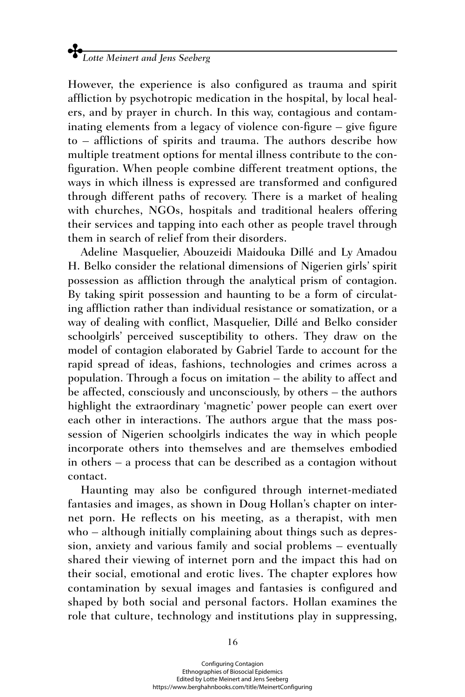However, the experience is also configured as trauma and spirit affliction by psychotropic medication in the hospital, by local healers, and by prayer in church. In this way, contagious and contaminating elements from a legacy of violence con-figure – give figure to – afflictions of spirits and trauma. The authors describe how multiple treatment options for mental illness contribute to the configuration. When people combine different treatment options, the ways in which illness is expressed are transformed and configured through different paths of recovery. There is a market of healing with churches, NGOs, hospitals and traditional healers offering their services and tapping into each other as people travel through them in search of relief from their disorders.

Adeline Masquelier, Abouzeidi Maidouka Dillé and Ly Amadou H. Belko consider the relational dimensions of Nigerien girls' spirit possession as affliction through the analytical prism of contagion. By taking spirit possession and haunting to be a form of circulating affliction rather than individual resistance or somatization, or a way of dealing with conflict, Masquelier, Dillé and Belko consider schoolgirls' perceived susceptibility to others. They draw on the model of contagion elaborated by Gabriel Tarde to account for the rapid spread of ideas, fashions, technologies and crimes across a population. Through a focus on imitation – the ability to affect and be affected, consciously and unconsciously, by others – the authors highlight the extraordinary 'magnetic' power people can exert over each other in interactions. The authors argue that the mass possession of Nigerien schoolgirls indicates the way in which people incorporate others into themselves and are themselves embodied in others – a process that can be described as a contagion without contact.

Haunting may also be configured through internet-mediated fantasies and images, as shown in Doug Hollan's chapter on internet porn. He reflects on his meeting, as a therapist, with men who – although initially complaining about things such as depression, anxiety and various family and social problems – eventually shared their viewing of internet porn and the impact this had on their social, emotional and erotic lives. The chapter explores how contamination by sexual images and fantasies is configured and shaped by both social and personal factors. Hollan examines the role that culture, technology and institutions play in suppressing,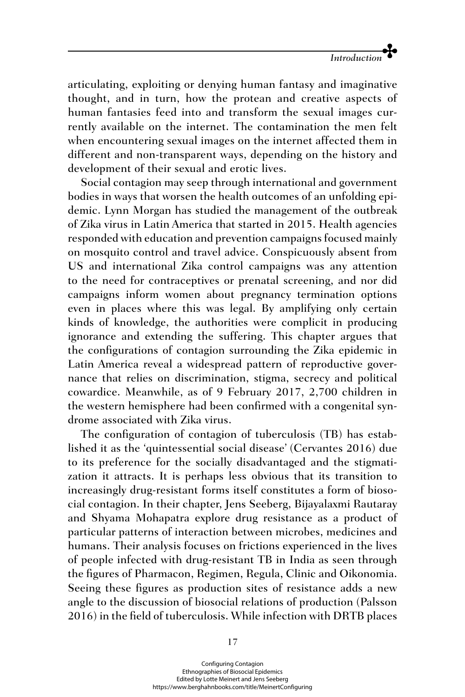

articulating, exploiting or denying human fantasy and imaginative thought, and in turn, how the protean and creative aspects of human fantasies feed into and transform the sexual images currently available on the internet. The contamination the men felt when encountering sexual images on the internet affected them in different and non-transparent ways, depending on the history and development of their sexual and erotic lives.

Social contagion may seep through international and government bodies in ways that worsen the health outcomes of an unfolding epidemic. Lynn Morgan has studied the management of the outbreak of Zika virus in Latin America that started in 2015. Health agencies responded with education and prevention campaigns focused mainly on mosquito control and travel advice. Conspicuously absent from US and international Zika control campaigns was any attention to the need for contraceptives or prenatal screening, and nor did campaigns inform women about pregnancy termination options even in places where this was legal. By amplifying only certain kinds of knowledge, the authorities were complicit in producing ignorance and extending the suffering. This chapter argues that the configurations of contagion surrounding the Zika epidemic in Latin America reveal a widespread pattern of reproductive governance that relies on discrimination, stigma, secrecy and political cowardice. Meanwhile, as of 9 February 2017, 2,700 children in the western hemisphere had been confirmed with a congenital syndrome associated with Zika virus.

The configuration of contagion of tuberculosis (TB) has established it as the 'quintessential social disease' (Cervantes 2016) due to its preference for the socially disadvantaged and the stigmatization it attracts. It is perhaps less obvious that its transition to increasingly drug-resistant forms itself constitutes a form of biosocial contagion. In their chapter, Jens Seeberg, Bijayalaxmi Rautaray and Shyama Mohapatra explore drug resistance as a product of particular patterns of interaction between microbes, medicines and humans. Their analysis focuses on frictions experienced in the lives of people infected with drug-resistant TB in India as seen through the figures of Pharmacon, Regimen, Regula, Clinic and Oikonomia. Seeing these figures as production sites of resistance adds a new angle to the discussion of biosocial relations of production (Palsson 2016) in the field of tuberculosis. While infection with DRTB places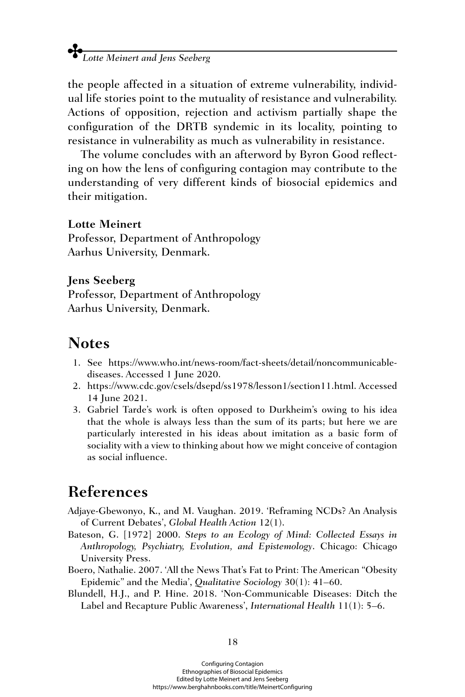the people affected in a situation of extreme vulnerability, individual life stories point to the mutuality of resistance and vulnerability. Actions of opposition, rejection and activism partially shape the configuration of the DRTB syndemic in its locality, pointing to resistance in vulnerability as much as vulnerability in resistance.

The volume concludes with an afterword by Byron Good reflecting on how the lens of configuring contagion may contribute to the understanding of very different kinds of biosocial epidemics and their mitigation.

#### **Lotte Meinert**

Professor, Department of Anthropology Aarhus University, Denmark.

#### **Jens Seeberg**

Professor, Department of Anthropology Aarhus University, Denmark.

## **Notes**

- 1. See [https://www.who.int/news-room/fact-sheets/detail/noncommunicable](https://www.who.int/news-room/fact-sheets/detail/noncommunicable-diseases)[diseases](https://www.who.int/news-room/fact-sheets/detail/noncommunicable-diseases). Accessed 1 June 2020.
- 2. [https://www.cdc.gov/csels/dsepd/ss1978/lesson1/section11.html.](https://www.cdc.gov/csels/dsepd/ss1978/lesson1/section11.html) Accessed 14 June 2021.
- 3. Gabriel Tarde's work is often opposed to Durkheim's owing to his idea that the whole is always less than the sum of its parts; but here we are particularly interested in his ideas about imitation as a basic form of sociality with a view to thinking about how we might conceive of contagion as social influence.

# **References**

- Adjaye-Gbewonyo, K., and M. Vaughan. 2019. 'Reframing NCDs? An Analysis of Current Debates', *Global Health Action* 12(1).
- Bateson, G. [1972] 2000. *Steps to an Ecology of Mind: Collected Essays in Anthropology, Psychiatry, Evolution, and Epistemology*. Chicago: Chicago University Press.
- Boero, Nathalie. 2007. 'All the News That's Fat to Print: The American "Obesity Epidemic" and the Media', *Qualitative Sociology* 30(1): 41–60.
- Blundell, H.J., and P. Hine. 2018. 'Non-Communicable Diseases: Ditch the Label and Recapture Public Awareness', *International Health* 11(1): 5–6.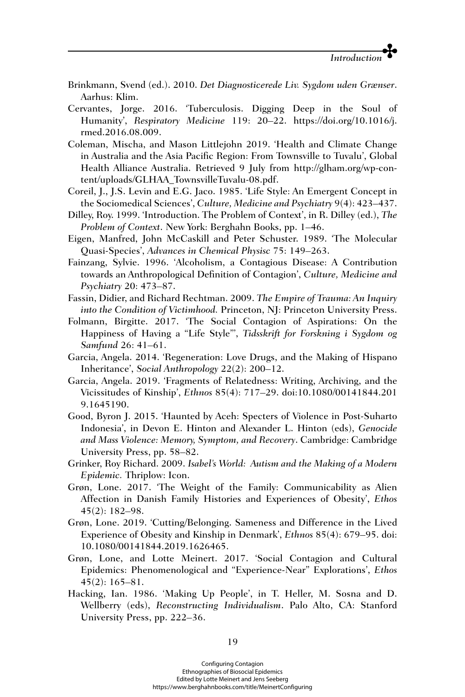- Brinkmann, Svend (ed.). 2010. *Det Diagnosticerede Liv. Sygdom uden Grænser*. Aarhus: Klim.
- Cervantes, Jorge. 2016. 'Tuberculosis. Digging Deep in the Soul of Humanity', *Respiratory Medicine* 119: 20–22. [https://doi.org/10.1016/j.](https://doi.org/10.1016/j) rmed.2016.08.009.
- Coleman, Mischa, and Mason Littlejohn 2019. 'Health and Climate Change in Australia and the Asia Pacific Region: From Townsville to Tuvalu', Global Health Alliance Australia. Retrieved 9 July from [http://glham.org/wp-con](http://glham.org/wp-content/uploads/GLHAA_TownsvilleTuvalu-08.pdf)[tent/uploads/GLHAA\\_TownsvilleTuvalu-08.pdf.](http://glham.org/wp-content/uploads/GLHAA_TownsvilleTuvalu-08.pdf)
- Coreil, J., J.S. Levin and E.G. Jaco. 1985. 'Life Style: An Emergent Concept in the Sociomedical Sciences', *Culture, Medicine and Psychiatry* 9(4): 423–437.
- Dilley, Roy. 1999. 'Introduction. The Problem of Context', in R. Dilley (ed.), *The Problem of Context*. New York: Berghahn Books, pp. 1–46.
- Eigen, Manfred, John McCaskill and Peter Schuster. 1989. 'The Molecular Quasi-Species', *Advances in Chemical Physisc* 75: 149–263.
- Fainzang, Sylvie. 1996. 'Alcoholism, a Contagious Disease: A Contribution towards an Anthropological Definition of Contagion', *Culture, Medicine and Psychiatry* 20: 473–87.
- Fassin, Didier, and Richard Rechtman. 2009. *The Empire of Trauma: An Inquiry into the Condition of Victimhood.* Princeton, NJ: Princeton University Press.
- Folmann, Birgitte. 2017. 'The Social Contagion of Aspirations: On the Happiness of Having a "Life Style"', *Tidsskrift for Forskning i Sygdom og Samfund* 26: 41–61.
- Garcia, Angela. 2014. 'Regeneration: Love Drugs, and the Making of Hispano Inheritance', *Social Anthropology* 22(2): 200–12.
- Garcia, Angela. 2019. 'Fragments of Relatedness: Writing, Archiving, and the Vicissitudes of Kinship', *Ethnos* 85(4): 717–29. doi:10.1080/00141844.201 9.1645190.
- Good, Byron J. 2015. 'Haunted by Aceh: Specters of Violence in Post-Suharto Indonesia', in Devon E. Hinton and Alexander L. Hinton (eds), *Genocide and Mass Violence: Memory, Symptom, and Recovery*. Cambridge: Cambridge University Press, pp. 58–82.
- Grinker, Roy Richard. 2009. *Isabel's World: Autism and the Making of a Modern Epidemic.* Thriplow: Icon.
- Grøn, Lone. 2017. 'The Weight of the Family: Communicability as Alien Affection in Danish Family Histories and Experiences of Obesity', *Ethos* 45(2): 182–98.
- Grøn, Lone. 2019. 'Cutting/Belonging. Sameness and Difference in the Lived Experience of Obesity and Kinship in Denmark', *Ethnos* 85(4): 679–95. doi: 10.1080/00141844.2019.1626465.
- Grøn, Lone, and Lotte Meinert. 2017. 'Social Contagion and Cultural Epidemics: Phenomenological and "Experience-Near" Explorations', *Ethos* 45(2): 165–81.
- Hacking, Ian. 1986. 'Making Up People', in T. Heller, M. Sosna and D. Wellberry (eds), *Reconstructing Individualism*. Palo Alto, CA: Stanford University Press, pp. 222–36.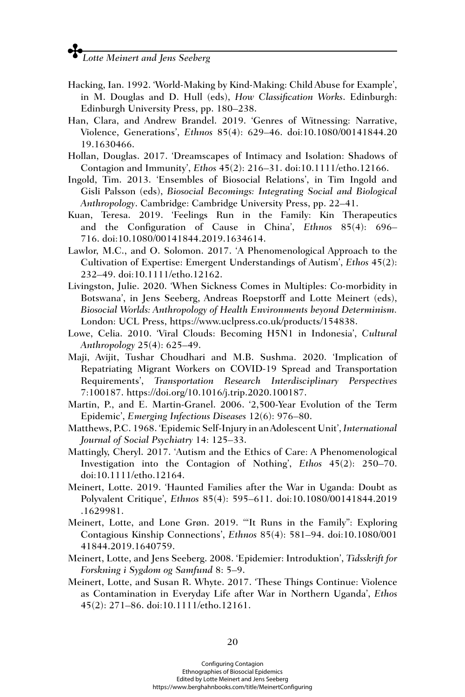- Hacking, Ian. 1992. 'World-Making by Kind-Making: Child Abuse for Example', in M. Douglas and D. Hull (eds), *How Classification Works*. Edinburgh: Edinburgh University Press, pp. 180–238.
- Han, Clara, and Andrew Brandel. 2019. 'Genres of Witnessing: Narrative, Violence, Generations', *Ethnos* 85(4): 629–46. doi:10.1080/00141844.20 19.1630466.
- Hollan, Douglas. 2017. 'Dreamscapes of Intimacy and Isolation: Shadows of Contagion and Immunity', *Ethos* 45(2): 216–31. doi:10.1111/etho.12166.
- Ingold, Tim. 2013. 'Ensembles of Biosocial Relations', in Tim Ingold and Gisli Palsson (eds), *Biosocial Becomings: Integrating Social and Biological Anthropology*. Cambridge: Cambridge University Press, pp. 22–41.
- Kuan, Teresa. 2019. 'Feelings Run in the Family: Kin Therapeutics and the Configuration of Cause in China', *Ethnos* 85(4): 696– 716. doi:10.1080/00141844.2019.1634614.
- Lawlor, M.C., and O. Solomon. 2017. 'A Phenomenological Approach to the Cultivation of Expertise: Emergent Understandings of Autism', *Ethos* 45(2): 232–49. doi:10.1111/etho.12162.
- Livingston, Julie. 2020. 'When Sickness Comes in Multiples: Co-morbidity in Botswana', in Jens Seeberg, Andreas Roepstorff and Lotte Meinert (eds), *Biosocial Worlds: Anthropology of Health Environments beyond Determinism.* London: UCL Press, [https://www.uclpress.co.uk/products/154838.](https://www.uclpress.co.uk/products/154838)
- Lowe, Celia. 2010. 'Viral Clouds: Becoming H5N1 in Indonesia', *Cultural Anthropology* 25(4): 625–49.
- Maji, Avijit, Tushar Choudhari and M.B. Sushma. 2020. 'Implication of Repatriating Migrant Workers on COVID-19 Spread and Transportation Requirements', *Transportation Research Interdisciplinary Perspectives*  7:100187. [https://doi.org/10.1016/j.trip.2020.100187.](https://doi.org/10.1016/j.trip.2020.100187)
- Martin, P., and E. Martin-Granel. 2006. '2,500-Year Evolution of the Term Epidemic', *Emerging Infectious Diseases* 12(6): 976–80.
- Matthews, P.C. 1968. 'Epidemic Self-Injury in an Adolescent Unit', *International Journal of Social Psychiatry* 14: 125–33.
- Mattingly, Cheryl. 2017. 'Autism and the Ethics of Care: A Phenomenological Investigation into the Contagion of Nothing', *Ethos* 45(2): 250–70. doi:10.1111/etho.12164.
- Meinert, Lotte. 2019. 'Haunted Families after the War in Uganda: Doubt as Polyvalent Critique', *Ethnos* 85(4): 595–611. doi:10.1080/00141844.2019 .1629981.
- Meinert, Lotte, and Lone Grøn. 2019. '"It Runs in the Family": Exploring Contagious Kinship Connections', *Ethnos* 85(4): 581–94. doi:10.1080/001 41844.2019.1640759.
- Meinert, Lotte, and Jens Seeberg. 2008. 'Epidemier: Introduktion', *Tidsskrift for Forskning i Sygdom og Samfund* 8: 5–9.
- Meinert, Lotte, and Susan R. Whyte. 2017. 'These Things Continue: Violence as Contamination in Everyday Life after War in Northern Uganda', *Ethos* 45(2): 271–86. doi:10.1111/etho.12161.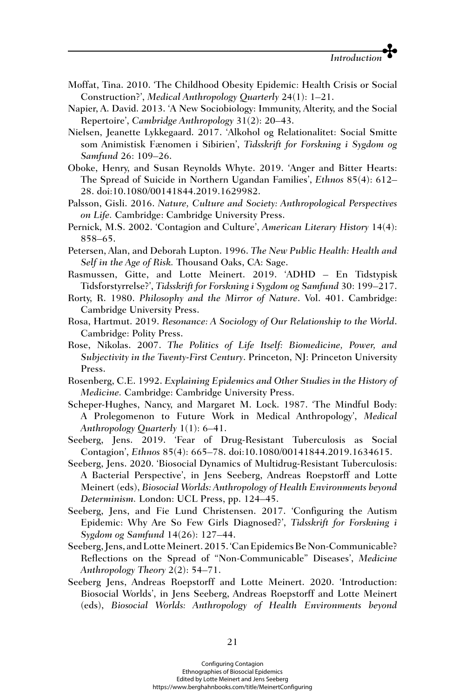- Moffat, Tina. 2010. 'The Childhood Obesity Epidemic: Health Crisis or Social Construction?', *Medical Anthropology Quarterly* 24(1): 1–21.
- Napier, A. David. 2013. 'A New Sociobiology: Immunity, Alterity, and the Social Repertoire', *Cambridge Anthropology* 31(2): 20–43.
- Nielsen, Jeanette Lykkegaard. 2017. 'Alkohol og Relationalitet: Social Smitte som Animistisk Fænomen i Sibirien', *Tidsskrift for Forskning i Sygdom og Samfund* 26: 109–26.
- Oboke, Henry, and Susan Reynolds Whyte. 2019. 'Anger and Bitter Hearts: The Spread of Suicide in Northern Ugandan Families', *Ethnos* 85(4): 612– 28. doi:10.1080/00141844.2019.1629982.
- Palsson, Gisli. 2016. *Nature, Culture and Society: Anthropological Perspectives on Life.* Cambridge: Cambridge University Press.
- Pernick, M.S. 2002. 'Contagion and Culture', *American Literary History* 14(4): 858–65.
- Petersen, Alan, and Deborah Lupton. 1996. *The New Public Health: Health and Self in the Age of Risk.* Thousand Oaks, CA: Sage.
- Rasmussen, Gitte, and Lotte Meinert. 2019. 'ADHD En Tidstypisk Tidsforstyrrelse?', *Tidsskrift for Forskning i Sygdom og Samfund* 30: 199–217.
- Rorty, R. 1980. *Philosophy and the Mirror of Nature*. Vol. 401. Cambridge: Cambridge University Press.
- Rosa, Hartmut. 2019. *Resonance: A Sociology of Our Relationship to the World*. Cambridge: Polity Press.
- Rose, Nikolas. 2007. *The Politics of Life Itself: Biomedicine, Power, and Subjectivity in the Twenty-First Century*. Princeton, NJ: Princeton University Press.
- Rosenberg, C.E. 1992. *Explaining Epidemics and Other Studies in the History of Medicine.* Cambridge: Cambridge University Press.
- Scheper-Hughes, Nancy, and Margaret M. Lock. 1987. 'The Mindful Body: A Prolegomenon to Future Work in Medical Anthropology', *Medical Anthropology Quarterly* 1(1): 6–41.
- Seeberg, Jens. 2019. 'Fear of Drug-Resistant Tuberculosis as Social Contagion', *Ethnos* 85(4): 665–78. doi:10.1080/00141844.2019.1634615.
- Seeberg, Jens. 2020. 'Biosocial Dynamics of Multidrug-Resistant Tuberculosis: A Bacterial Perspective', in Jens Seeberg, Andreas Roepstorff and Lotte Meinert (eds), *Biosocial Worlds: Anthropology of Health Environments beyond Determinism.* London: UCL Press, pp. 124–45.
- Seeberg, Jens, and Fie Lund Christensen. 2017. 'Configuring the Autism Epidemic: Why Are So Few Girls Diagnosed?', *Tidsskrift for Forskning i Sygdom og Samfund* 14(26): 127–44.
- Seeberg, Jens, and Lotte Meinert. 2015. 'Can Epidemics Be Non-Communicable? Reflections on the Spread of "Non-Communicable" Diseases', *Medicine Anthropology Theory* 2(2): 54–71.
- Seeberg Jens, Andreas Roepstorff and Lotte Meinert. 2020. 'Introduction: Biosocial Worlds', in Jens Seeberg, Andreas Roepstorff and Lotte Meinert (eds), *Biosocial Worlds: Anthropology of Health Environments beyond*